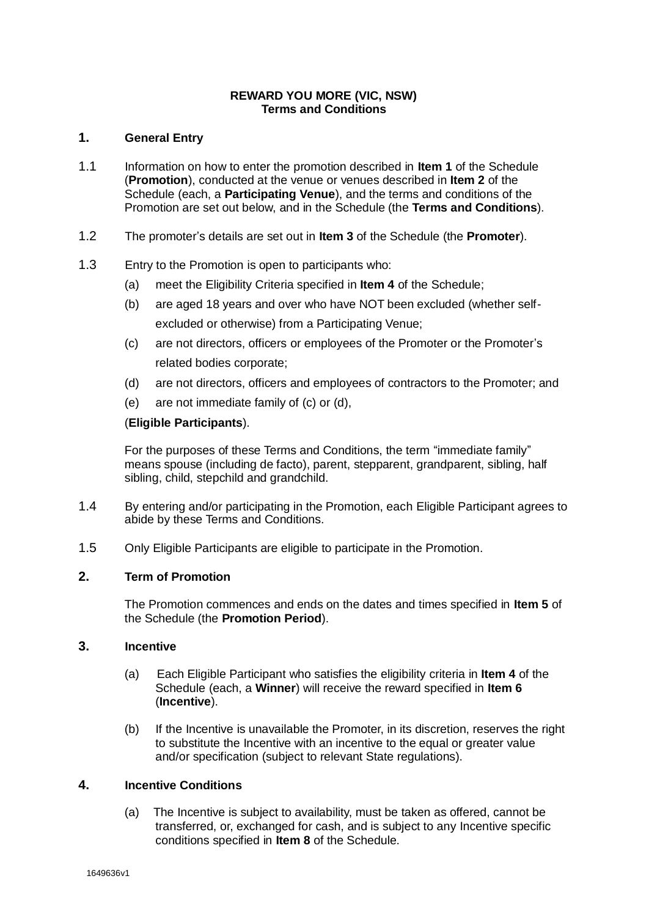#### **REWARD YOU MORE (VIC, NSW) Terms and Conditions**

# **1. General Entry**

- 1.1 Information on how to enter the promotion described in **Item 1** of the Schedule (**Promotion**), conducted at the venue or venues described in **Item 2** of the Schedule (each, a **Participating Venue**), and the terms and conditions of the Promotion are set out below, and in the Schedule (the **Terms and Conditions**).
- 1.2 The promoter's details are set out in **Item 3** of the Schedule (the **Promoter**).
- 1.3 Entry to the Promotion is open to participants who:
	- (a) meet the Eligibility Criteria specified in **Item 4** of the Schedule;
	- (b) are aged 18 years and over who have NOT been excluded (whether selfexcluded or otherwise) from a Participating Venue;
	- (c) are not directors, officers or employees of the Promoter or the Promoter's related bodies corporate;
	- (d) are not directors, officers and employees of contractors to the Promoter; and
	- (e) are not immediate family of (c) or (d),

### (**Eligible Participants**).

For the purposes of these Terms and Conditions, the term "immediate family" means spouse (including de facto), parent, stepparent, grandparent, sibling, half sibling, child, stepchild and grandchild.

- 1.4 By entering and/or participating in the Promotion, each Eligible Participant agrees to abide by these Terms and Conditions.
- 1.5 Only Eligible Participants are eligible to participate in the Promotion.

# **2. Term of Promotion**

The Promotion commences and ends on the dates and times specified in **Item 5** of the Schedule (the **Promotion Period**).

### **3. Incentive**

- (a) Each Eligible Participant who satisfies the eligibility criteria in **Item 4** of the Schedule (each, a **Winner**) will receive the reward specified in **Item 6**  (**Incentive**).
- (b) If the Incentive is unavailable the Promoter, in its discretion, reserves the right to substitute the Incentive with an incentive to the equal or greater value and/or specification (subject to relevant State regulations).

### **4. Incentive Conditions**

(a) The Incentive is subject to availability, must be taken as offered, cannot be transferred, or, exchanged for cash, and is subject to any Incentive specific conditions specified in **Item 8** of the Schedule.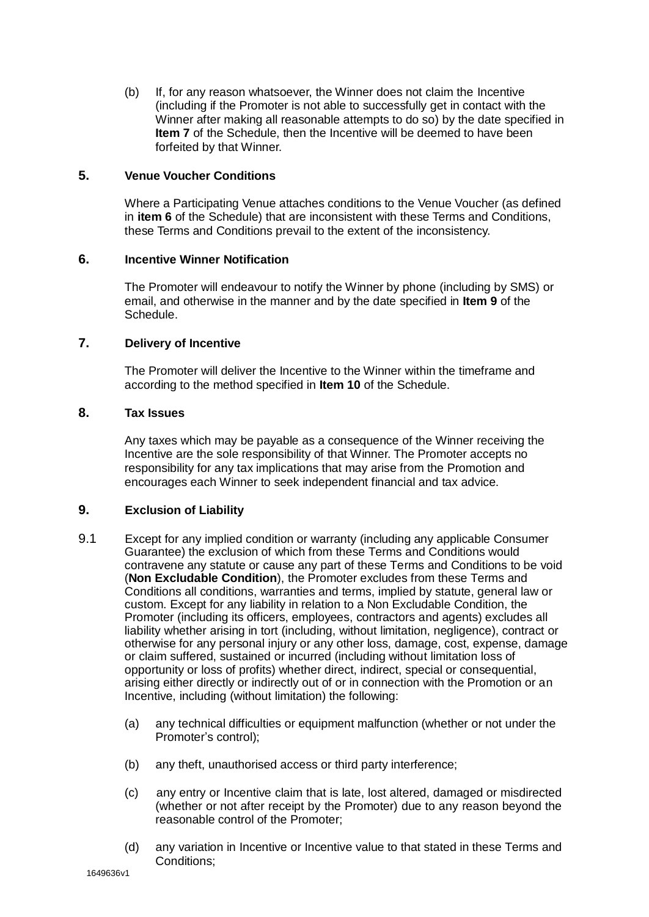(b) If, for any reason whatsoever, the Winner does not claim the Incentive (including if the Promoter is not able to successfully get in contact with the Winner after making all reasonable attempts to do so) by the date specified in **Item 7** of the Schedule, then the Incentive will be deemed to have been forfeited by that Winner.

### **5. Venue Voucher Conditions**

Where a Participating Venue attaches conditions to the Venue Voucher (as defined in **item 6** of the Schedule) that are inconsistent with these Terms and Conditions, these Terms and Conditions prevail to the extent of the inconsistency.

### **6. Incentive Winner Notification**

The Promoter will endeavour to notify the Winner by phone (including by SMS) or email, and otherwise in the manner and by the date specified in **Item 9** of the Schedule.

### **7. Delivery of Incentive**

The Promoter will deliver the Incentive to the Winner within the timeframe and according to the method specified in **Item 10** of the Schedule.

# **8. Tax Issues**

Any taxes which may be payable as a consequence of the Winner receiving the Incentive are the sole responsibility of that Winner. The Promoter accepts no responsibility for any tax implications that may arise from the Promotion and encourages each Winner to seek independent financial and tax advice.

### **9. Exclusion of Liability**

- 9.1 Except for any implied condition or warranty (including any applicable Consumer Guarantee) the exclusion of which from these Terms and Conditions would contravene any statute or cause any part of these Terms and Conditions to be void (**Non Excludable Condition**), the Promoter excludes from these Terms and Conditions all conditions, warranties and terms, implied by statute, general law or custom. Except for any liability in relation to a Non Excludable Condition, the Promoter (including its officers, employees, contractors and agents) excludes all liability whether arising in tort (including, without limitation, negligence), contract or otherwise for any personal injury or any other loss, damage, cost, expense, damage or claim suffered, sustained or incurred (including without limitation loss of opportunity or loss of profits) whether direct, indirect, special or consequential, arising either directly or indirectly out of or in connection with the Promotion or an Incentive, including (without limitation) the following:
	- (a) any technical difficulties or equipment malfunction (whether or not under the Promoter's control);
	- (b) any theft, unauthorised access or third party interference;
	- (c) any entry or Incentive claim that is late, lost altered, damaged or misdirected (whether or not after receipt by the Promoter) due to any reason beyond the reasonable control of the Promoter;
	- (d) any variation in Incentive or Incentive value to that stated in these Terms and Conditions;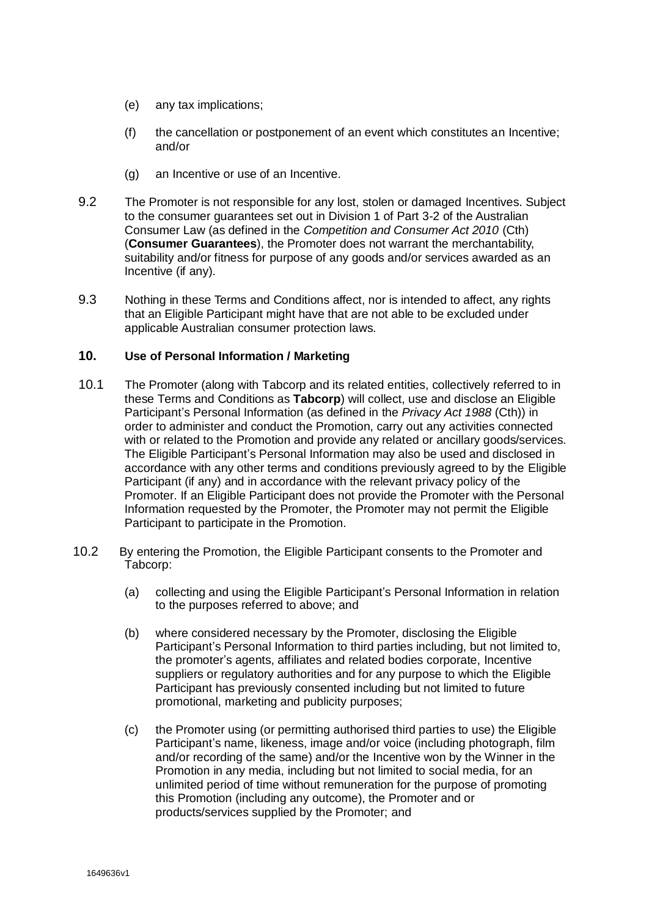- (e) any tax implications;
- (f) the cancellation or postponement of an event which constitutes an Incentive; and/or
- (g) an Incentive or use of an Incentive.
- 9.2 The Promoter is not responsible for any lost, stolen or damaged Incentives. Subject to the consumer guarantees set out in Division 1 of Part 3-2 of the Australian Consumer Law (as defined in the *Competition and Consumer Act 2010* (Cth) (**Consumer Guarantees**), the Promoter does not warrant the merchantability, suitability and/or fitness for purpose of any goods and/or services awarded as an Incentive (if any).
- 9.3 Nothing in these Terms and Conditions affect, nor is intended to affect, any rights that an Eligible Participant might have that are not able to be excluded under applicable Australian consumer protection laws.

#### **10. Use of Personal Information / Marketing**

- 10.1 The Promoter (along with Tabcorp and its related entities, collectively referred to in these Terms and Conditions as **Tabcorp**) will collect, use and disclose an Eligible Participant's Personal Information (as defined in the *Privacy Act 1988* (Cth)) in order to administer and conduct the Promotion, carry out any activities connected with or related to the Promotion and provide any related or ancillary goods/services. The Eligible Participant's Personal Information may also be used and disclosed in accordance with any other terms and conditions previously agreed to by the Eligible Participant (if any) and in accordance with the relevant privacy policy of the Promoter. If an Eligible Participant does not provide the Promoter with the Personal Information requested by the Promoter, the Promoter may not permit the Eligible Participant to participate in the Promotion.
- 10.2 By entering the Promotion, the Eligible Participant consents to the Promoter and Tabcorp:
	- (a) collecting and using the Eligible Participant's Personal Information in relation to the purposes referred to above; and
	- (b) where considered necessary by the Promoter, disclosing the Eligible Participant's Personal Information to third parties including, but not limited to, the promoter's agents, affiliates and related bodies corporate, Incentive suppliers or regulatory authorities and for any purpose to which the Eligible Participant has previously consented including but not limited to future promotional, marketing and publicity purposes;
	- (c) the Promoter using (or permitting authorised third parties to use) the Eligible Participant's name, likeness, image and/or voice (including photograph, film and/or recording of the same) and/or the Incentive won by the Winner in the Promotion in any media, including but not limited to social media, for an unlimited period of time without remuneration for the purpose of promoting this Promotion (including any outcome), the Promoter and or products/services supplied by the Promoter; and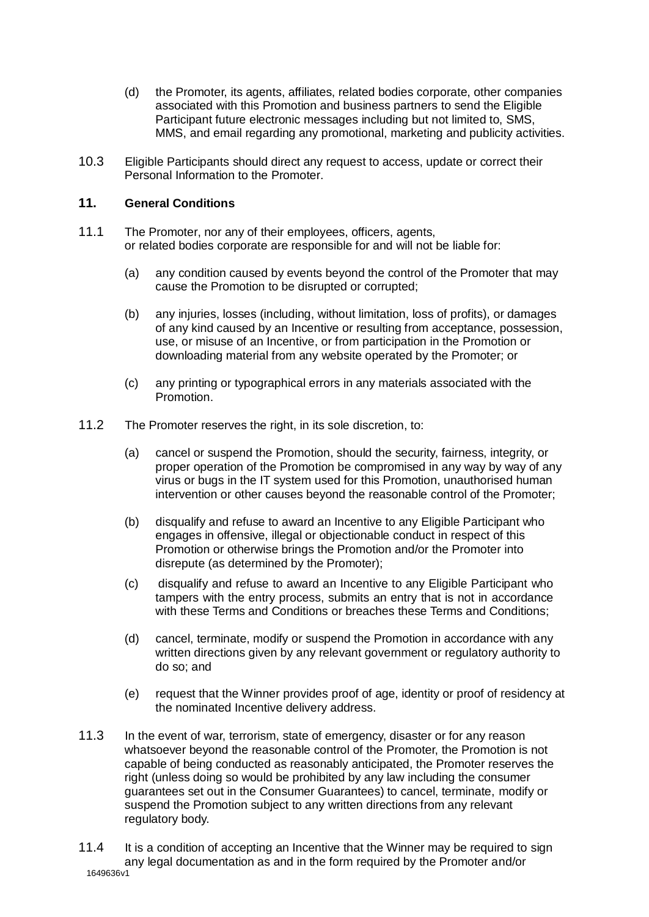- (d) the Promoter, its agents, affiliates, related bodies corporate, other companies associated with this Promotion and business partners to send the Eligible Participant future electronic messages including but not limited to, SMS, MMS, and email regarding any promotional, marketing and publicity activities.
- 10.3 Eligible Participants should direct any request to access, update or correct their Personal Information to the Promoter.

# **11. General Conditions**

- 11.1 The Promoter, nor any of their employees, officers, agents, or related bodies corporate are responsible for and will not be liable for:
	- (a) any condition caused by events beyond the control of the Promoter that may cause the Promotion to be disrupted or corrupted;
	- (b) any injuries, losses (including, without limitation, loss of profits), or damages of any kind caused by an Incentive or resulting from acceptance, possession, use, or misuse of an Incentive, or from participation in the Promotion or downloading material from any website operated by the Promoter; or
	- (c) any printing or typographical errors in any materials associated with the Promotion.
- 11.2 The Promoter reserves the right, in its sole discretion, to:
	- (a) cancel or suspend the Promotion, should the security, fairness, integrity, or proper operation of the Promotion be compromised in any way by way of any virus or bugs in the IT system used for this Promotion, unauthorised human intervention or other causes beyond the reasonable control of the Promoter;
	- (b) disqualify and refuse to award an Incentive to any Eligible Participant who engages in offensive, illegal or objectionable conduct in respect of this Promotion or otherwise brings the Promotion and/or the Promoter into disrepute (as determined by the Promoter);
	- (c) disqualify and refuse to award an Incentive to any Eligible Participant who tampers with the entry process, submits an entry that is not in accordance with these Terms and Conditions or breaches these Terms and Conditions;
	- (d) cancel, terminate, modify or suspend the Promotion in accordance with any written directions given by any relevant government or regulatory authority to do so; and
	- (e) request that the Winner provides proof of age, identity or proof of residency at the nominated Incentive delivery address.
- 11.3 In the event of war, terrorism, state of emergency, disaster or for any reason whatsoever beyond the reasonable control of the Promoter, the Promotion is not capable of being conducted as reasonably anticipated, the Promoter reserves the right (unless doing so would be prohibited by any law including the consumer guarantees set out in the Consumer Guarantees) to cancel, terminate, modify or suspend the Promotion subject to any written directions from any relevant regulatory body.
- 1649636v1 11.4 It is a condition of accepting an Incentive that the Winner may be required to sign any legal documentation as and in the form required by the Promoter and/or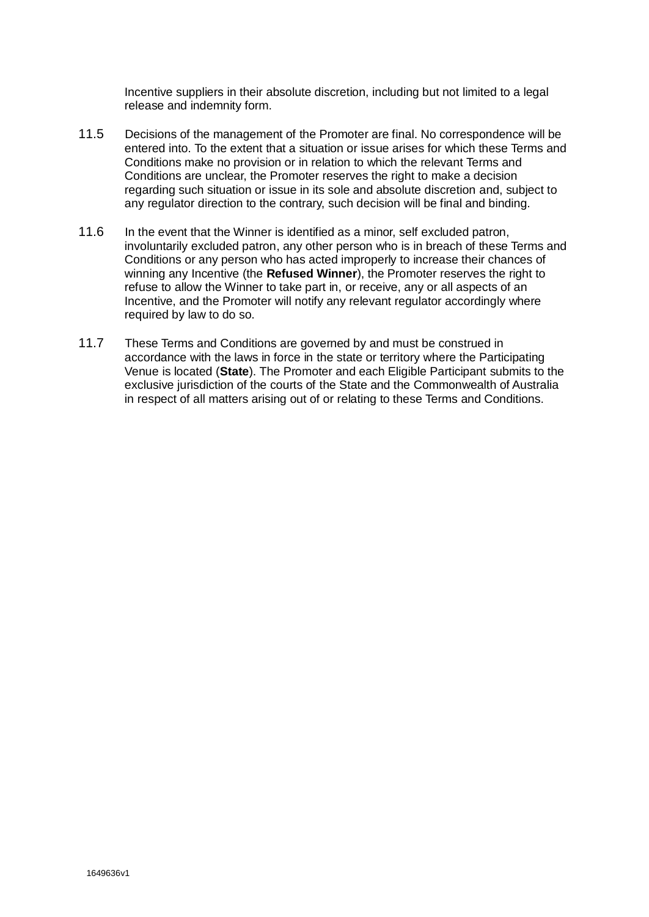Incentive suppliers in their absolute discretion, including but not limited to a legal release and indemnity form.

- 11.5 Decisions of the management of the Promoter are final. No correspondence will be entered into. To the extent that a situation or issue arises for which these Terms and Conditions make no provision or in relation to which the relevant Terms and Conditions are unclear, the Promoter reserves the right to make a decision regarding such situation or issue in its sole and absolute discretion and, subject to any regulator direction to the contrary, such decision will be final and binding.
- 11.6 In the event that the Winner is identified as a minor, self excluded patron, involuntarily excluded patron, any other person who is in breach of these Terms and Conditions or any person who has acted improperly to increase their chances of winning any Incentive (the **Refused Winner**), the Promoter reserves the right to refuse to allow the Winner to take part in, or receive, any or all aspects of an Incentive, and the Promoter will notify any relevant regulator accordingly where required by law to do so.
- 11.7 These Terms and Conditions are governed by and must be construed in accordance with the laws in force in the state or territory where the Participating Venue is located (**State**). The Promoter and each Eligible Participant submits to the exclusive jurisdiction of the courts of the State and the Commonwealth of Australia in respect of all matters arising out of or relating to these Terms and Conditions.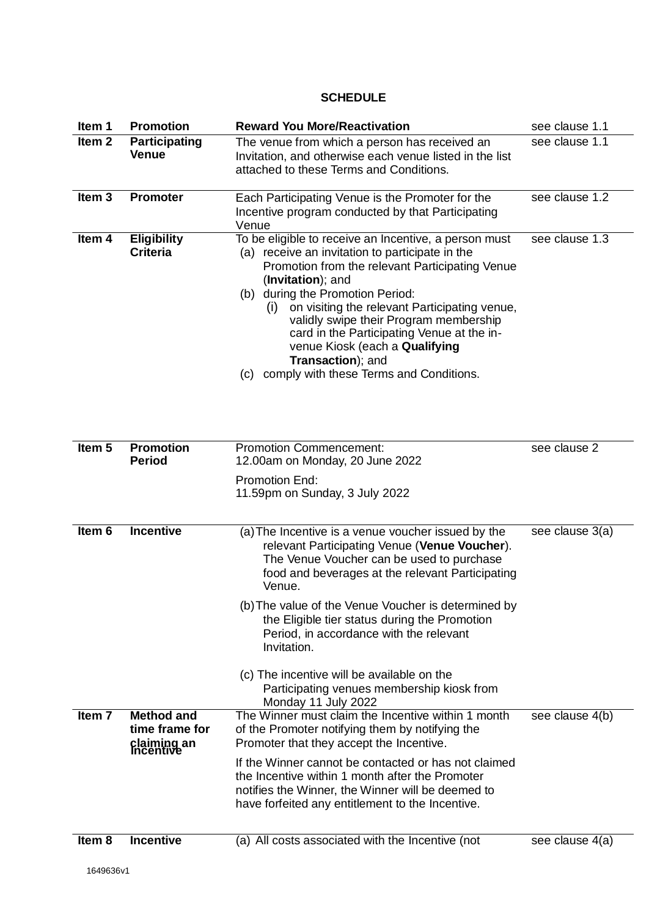# **SCHEDULE**

| Item 1            | <b>Promotion</b>                                                | <b>Reward You More/Reactivation</b>                                                                                                                                                                                                                                                                                                                                                                                                                                                                 | see clause 1.1  |
|-------------------|-----------------------------------------------------------------|-----------------------------------------------------------------------------------------------------------------------------------------------------------------------------------------------------------------------------------------------------------------------------------------------------------------------------------------------------------------------------------------------------------------------------------------------------------------------------------------------------|-----------------|
| Item <sub>2</sub> | <b>Participating</b><br><b>Venue</b>                            | The venue from which a person has received an<br>Invitation, and otherwise each venue listed in the list<br>attached to these Terms and Conditions.                                                                                                                                                                                                                                                                                                                                                 | see clause 1.1  |
| Item $3$          | <b>Promoter</b>                                                 | Each Participating Venue is the Promoter for the<br>Incentive program conducted by that Participating<br>Venue                                                                                                                                                                                                                                                                                                                                                                                      | see clause 1.2  |
| Item 4            | <b>Eligibility</b><br><b>Criteria</b>                           | To be eligible to receive an Incentive, a person must<br>(a) receive an invitation to participate in the<br>Promotion from the relevant Participating Venue<br>(Invitation); and<br>(b) during the Promotion Period:<br>on visiting the relevant Participating venue,<br>(i)<br>validly swipe their Program membership<br>card in the Participating Venue at the in-<br>venue Kiosk (each a Qualifying<br>Transaction); and<br>comply with these Terms and Conditions.<br>(c)                       | see clause 1.3  |
| Item <sub>5</sub> | <b>Promotion</b><br><b>Period</b>                               | <b>Promotion Commencement:</b><br>12.00am on Monday, 20 June 2022<br>Promotion End:<br>11.59pm on Sunday, 3 July 2022                                                                                                                                                                                                                                                                                                                                                                               | see clause 2    |
| Item 6            | <b>Incentive</b>                                                | (a) The Incentive is a venue voucher issued by the<br>relevant Participating Venue (Venue Voucher).<br>The Venue Voucher can be used to purchase<br>food and beverages at the relevant Participating<br>Venue.<br>(b) The value of the Venue Voucher is determined by<br>the Eligible tier status during the Promotion<br>Period, in accordance with the relevant<br>Invitation.<br>(c) The incentive will be available on the<br>Participating venues membership kiosk from<br>Monday 11 July 2022 | see clause 3(a) |
| Item 7            | <b>Method and</b><br>time frame for<br>claiming an<br>Incentive | The Winner must claim the Incentive within 1 month<br>of the Promoter notifying them by notifying the<br>Promoter that they accept the Incentive.<br>If the Winner cannot be contacted or has not claimed<br>the Incentive within 1 month after the Promoter<br>notifies the Winner, the Winner will be deemed to<br>have forfeited any entitlement to the Incentive.                                                                                                                               | see clause 4(b) |
| Item 8            | <b>Incentive</b>                                                | (a) All costs associated with the Incentive (not                                                                                                                                                                                                                                                                                                                                                                                                                                                    | see clause 4(a) |